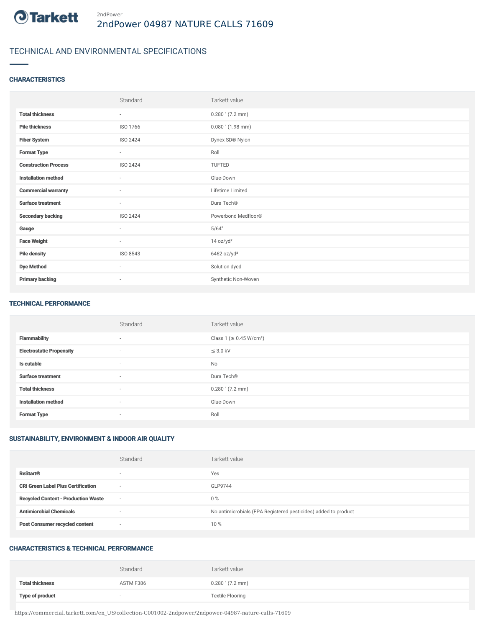

# TECHNICAL AND ENVIRONMENTAL SPECIFICATIONS

### **CHARACTERISTICS**

|                             | Standard                 | Tarkett value           |
|-----------------------------|--------------------------|-------------------------|
| <b>Total thickness</b>      | $\sim$                   | $0.280$ " $(7.2$ mm)    |
| <b>Pile thickness</b>       | ISO 1766                 | $0.080$ " $(1.98$ mm)   |
| <b>Fiber System</b>         | <b>ISO 2424</b>          | Dynex SD® Nylon         |
| <b>Format Type</b>          | $\overline{\phantom{a}}$ | Roll                    |
| <b>Construction Process</b> | <b>ISO 2424</b>          | TUFTED                  |
| <b>Installation method</b>  | $\overline{\phantom{a}}$ | Glue-Down               |
| <b>Commercial warranty</b>  | $\sim$                   | Lifetime Limited        |
| <b>Surface treatment</b>    | $\overline{\phantom{a}}$ | Dura Tech®              |
| <b>Secondary backing</b>    | <b>ISO 2424</b>          | Powerbond Medfloor®     |
| Gauge                       | $\sim$                   | 5/64"                   |
| <b>Face Weight</b>          | $\overline{\phantom{a}}$ | 14 oz/yd <sup>2</sup>   |
| <b>Pile density</b>         | ISO 8543                 | 6462 oz/yd <sup>3</sup> |
| <b>Dye Method</b>           | ٠                        | Solution dyed           |
| <b>Primary backing</b>      | ٠                        | Synthetic Non-Woven     |

#### TECHNICAL PERFORMANCE

|                                 | Standard                 | Tarkett value                       |
|---------------------------------|--------------------------|-------------------------------------|
| <b>Flammability</b>             | $\sim$                   | Class 1 (≥ 0.45 W/cm <sup>2</sup> ) |
| <b>Electrostatic Propensity</b> | $\sim$                   | $\leq$ 3.0 kV                       |
| Is cutable                      | $\sim$                   | No                                  |
| <b>Surface treatment</b>        | $\sim$                   | Dura Tech®                          |
| <b>Total thickness</b>          | $\sim$                   | $0.280$ " $(7.2$ mm)                |
| <b>Installation method</b>      | $\sim$                   | Glue-Down                           |
| <b>Format Type</b>              | $\overline{\phantom{a}}$ | Roll                                |

### SUSTAINABILITY, ENVIRONMENT & INDOOR AIR QUALITY

|                                            | Standard                 | Tarkett value                                                  |
|--------------------------------------------|--------------------------|----------------------------------------------------------------|
| <b>ReStart®</b>                            | $\overline{\phantom{a}}$ | Yes                                                            |
| <b>CRI Green Label Plus Certification</b>  | $\overline{\phantom{a}}$ | GLP9744                                                        |
| <b>Recycled Content - Production Waste</b> | $\overline{\phantom{a}}$ | $0\%$                                                          |
| <b>Antimicrobial Chemicals</b>             | ۰                        | No antimicrobials (EPA Registered pesticides) added to product |
| <b>Post Consumer recycled content</b>      | $\overline{\phantom{a}}$ | 10 %                                                           |

#### CHARACTERISTICS & TECHNICAL PERFORMANCE

|                        | Standard                 | Tarkett value           |
|------------------------|--------------------------|-------------------------|
| <b>Total thickness</b> | ASTM F386                | $0.280$ " $(7.2$ mm)    |
| <b>Type of product</b> | $\overline{\phantom{a}}$ | <b>Textile Flooring</b> |

https://commercial.tarkett.com/en\_US/collection-C001002-2ndpower/2ndpower-04987-nature-calls-71609